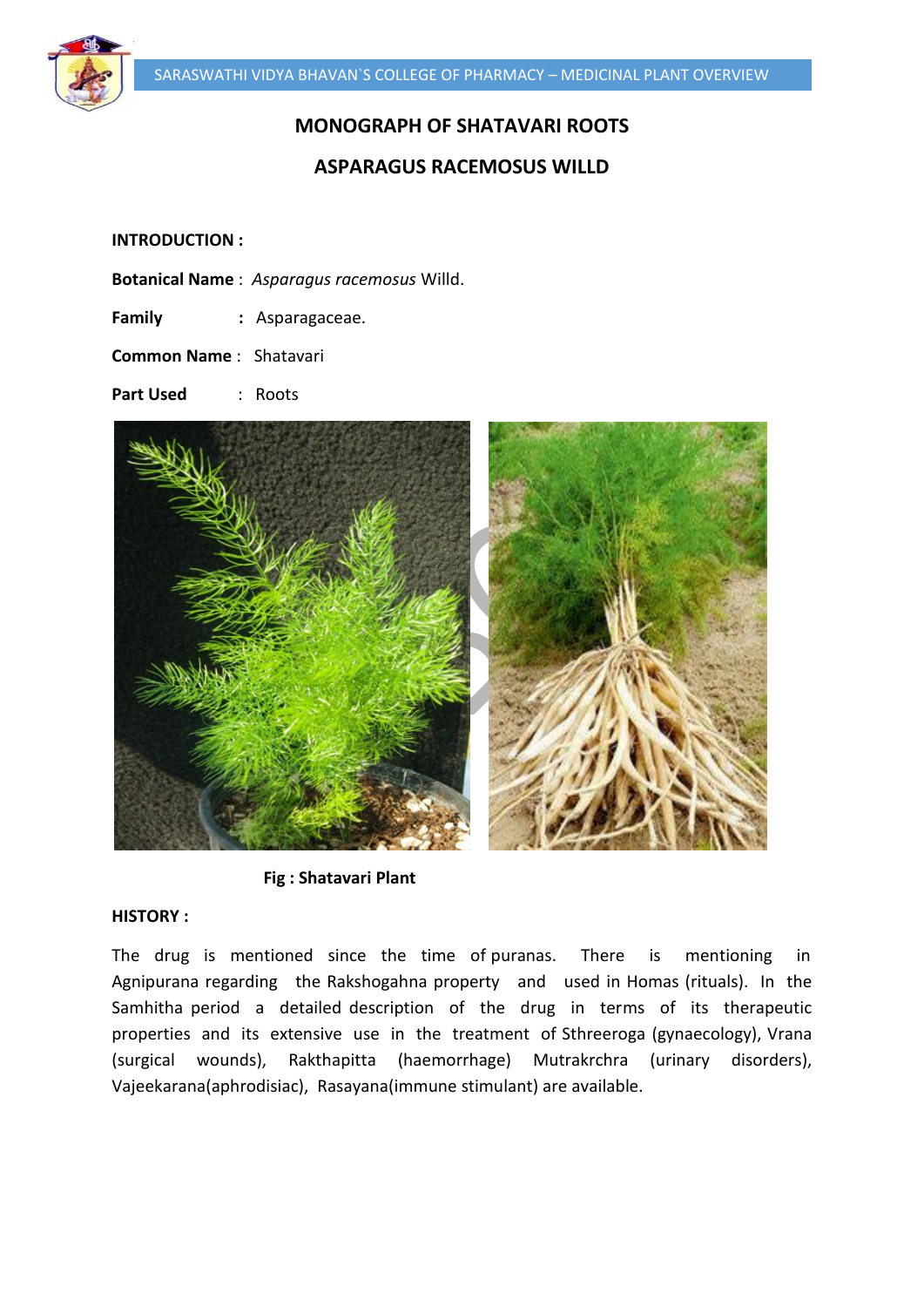

# **MONOGRAPH OF SHATAVARI ROOTS**

# **ASPARAGUS RACEMOSUS WILLD**

### **INTRODUCTION :**

- **Botanical Name** : *Asparagus racemosus* Willd.
- **Family :** Asparagaceae.

**Common Name** : Shatavari

**Part Used** : Roots



 **Fig : Shatavari Plant**

### **HISTORY :**

The drug is mentioned since the time of puranas. There is mentioning in Agnipurana regarding the Rakshogahna property and used in Homas (rituals). In the Samhitha period a detailed description of the drug in terms of its therapeutic properties and its extensive use in the treatment of Sthreeroga (gynaecology), Vrana (surgical wounds), Rakthapitta (haemorrhage) Mutrakrchra (urinary disorders), Vajeekarana(aphrodisiac), Rasayana(immune stimulant) are available.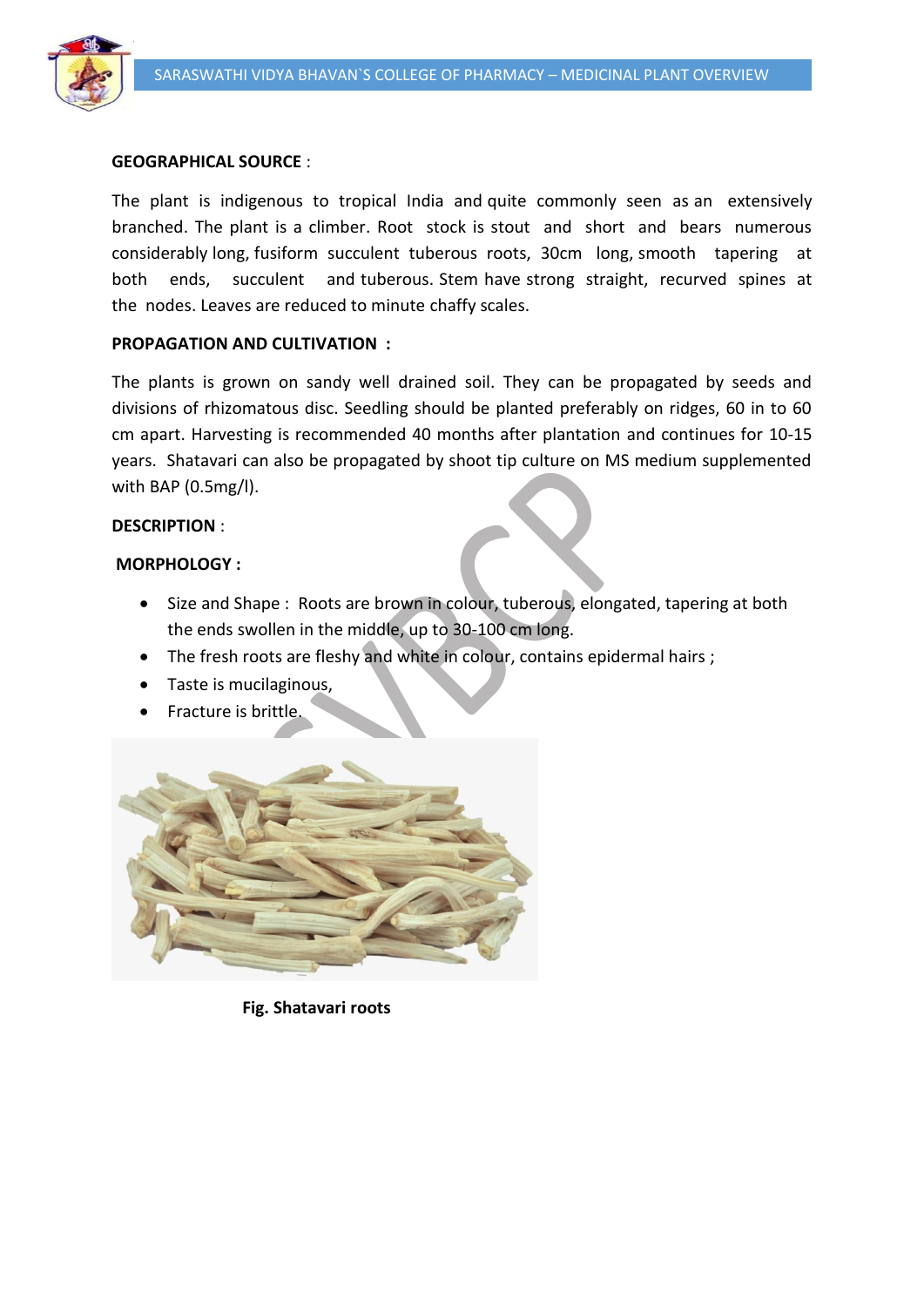

### **GEOGRAPHICAL SOURCE** :

The plant is indigenous to tropical India and quite commonly seen as an extensively branched. The plant is a climber. Root stock is stout and short and bears numerous considerably long, fusiform succulent tuberous roots, 30cm long, smooth tapering at both ends, succulent and tuberous. Stem have strong straight, recurved spines at the nodes. Leaves are reduced to minute chaffy scales.

### **PROPAGATION AND CULTIVATION :**

The plants is grown on sandy well drained soil. They can be propagated by seeds and divisions of rhizomatous disc. Seedling should be planted preferably on ridges, 60 in to 60 cm apart. Harvesting is recommended 40 months after plantation and continues for 10-15 years. Shatavari can also be propagated by shoot tip culture on MS medium supplemented with BAP (0.5mg/l).

### **DESCRIPTION** :

### **MORPHOLOGY :**

- Size and Shape : Roots are brown in colour, tuberous, elongated, tapering at both the ends swollen in the middle, up to 30-100 cm long.
- The fresh roots are fleshy and white in colour, contains epidermal hairs ;
- Taste is mucilaginous,
- Fracture is brittle.



 **Fig. Shatavari roots**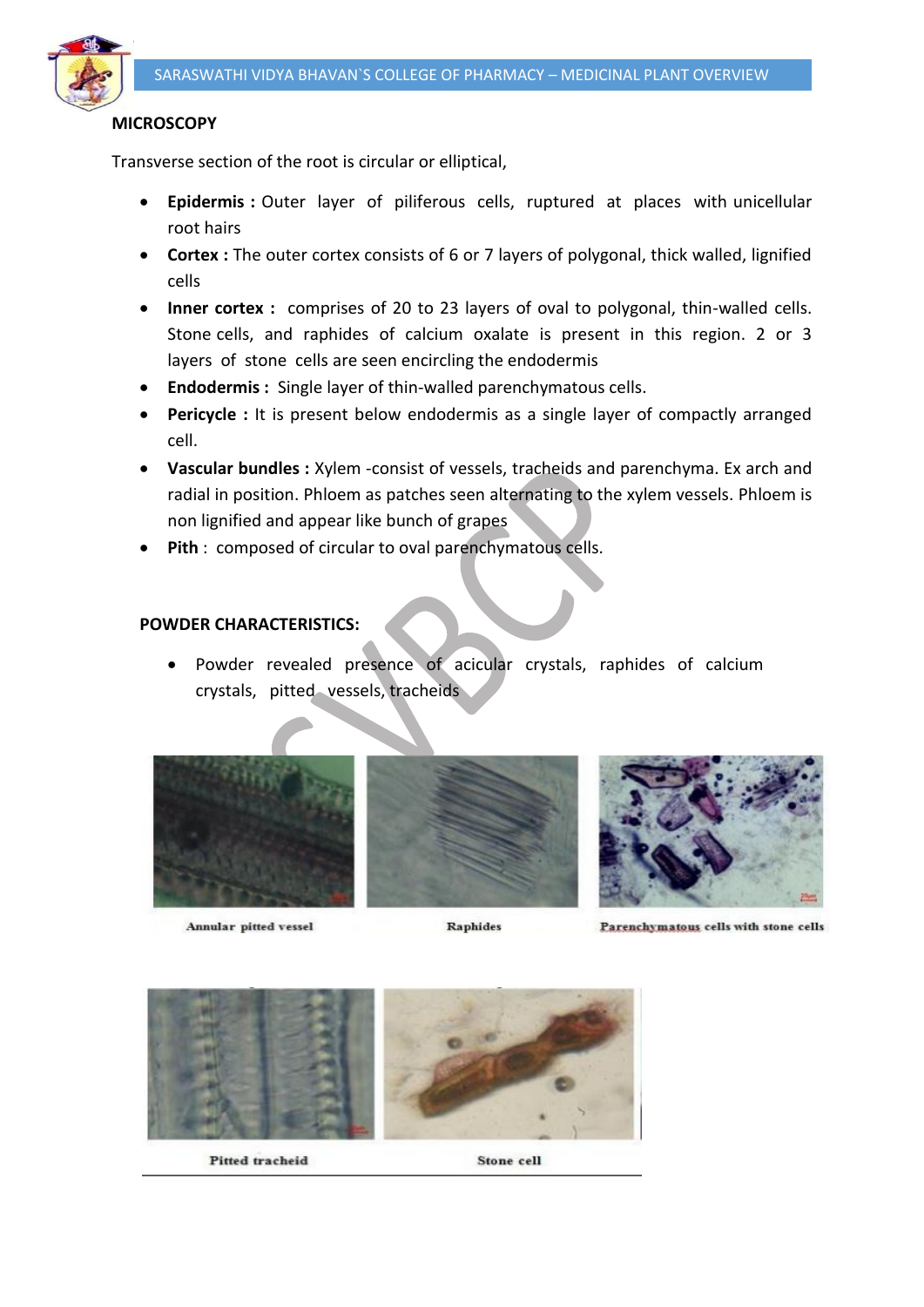

# **MICROSCOPY**

Transverse section of the root is circular or elliptical,

- **Epidermis :** Outer layer of piliferous cells, ruptured at places with unicellular root hairs
- **Cortex :** The outer cortex consists of 6 or 7 layers of polygonal, thick walled, lignified cells
- **Inner cortex :** comprises of 20 to 23 layers of oval to polygonal, thin-walled cells. Stone cells, and raphides of calcium oxalate is present in this region. 2 or 3 layers of stone cells are seen encircling the endodermis
- **Endodermis :** Single layer of thin-walled parenchymatous cells.
- **Pericycle :** It is present below endodermis as a single layer of compactly arranged cell.
- **Vascular bundles :** Xylem -consist of vessels, tracheids and parenchyma. Ex arch and radial in position. Phloem as patches seen alternating to the xylem vessels. Phloem is non lignified and appear like bunch of grapes
- **Pith** : composed of circular to oval parenchymatous cells.

# **POWDER CHARACTERISTICS:**

 Powder revealed presence of acicular crystals, raphides of calcium crystals, pitted vessels, tracheids



Annular pitted vessel



Raphides



Parenchymatous cells with stone cells



Pitted tracheid

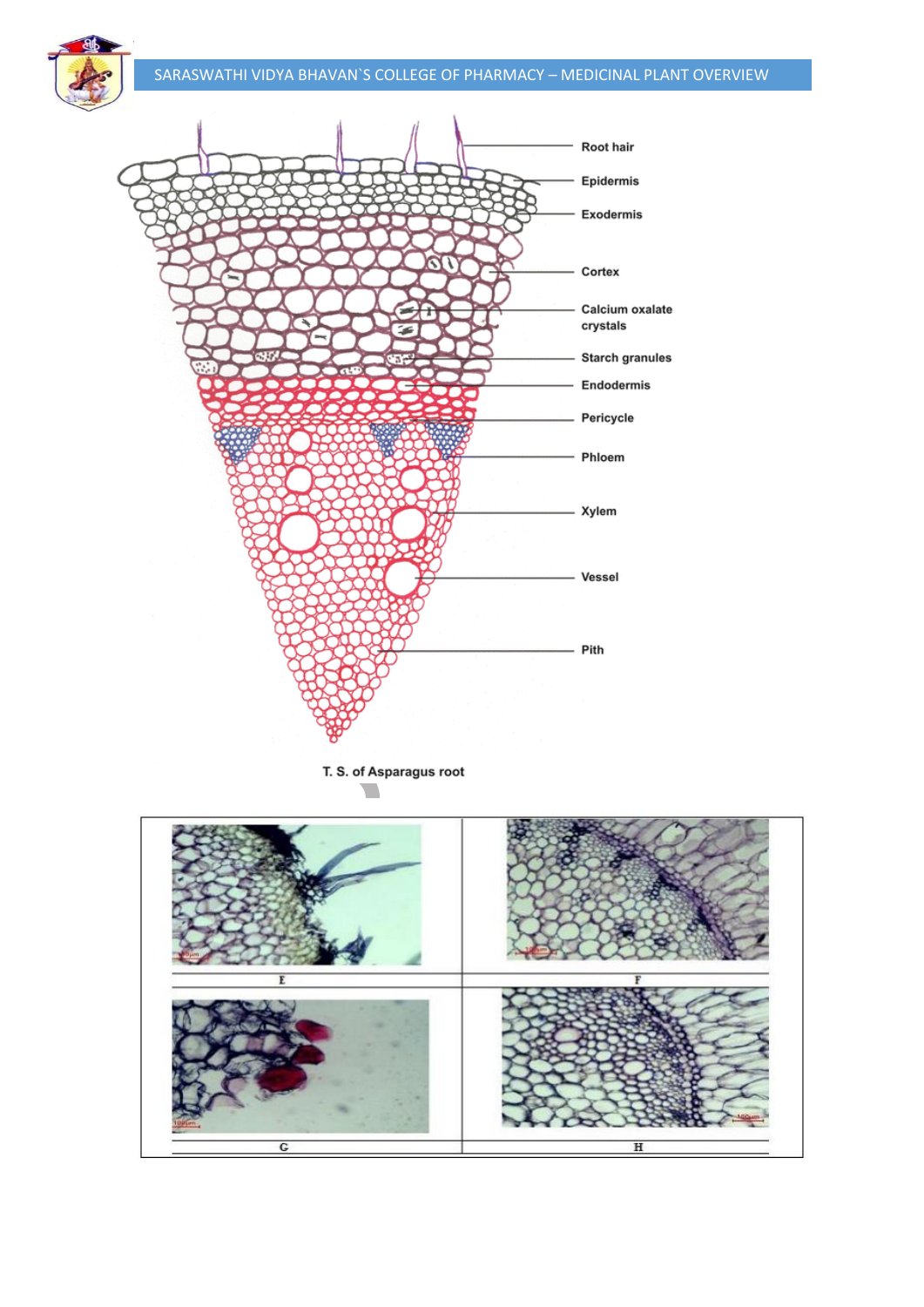



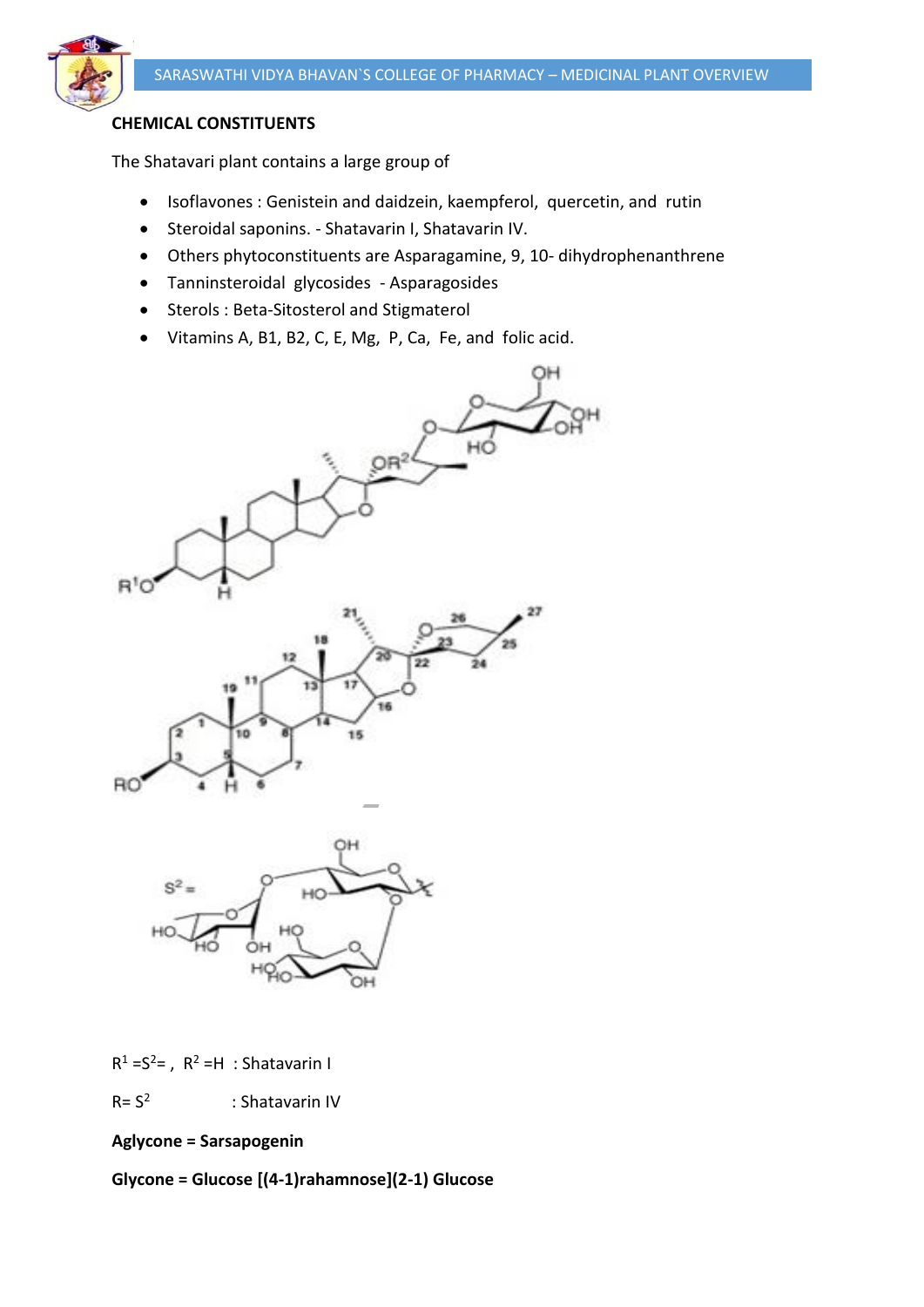

# **CHEMICAL CONSTITUENTS**

The Shatavari plant contains a large group of

- Isoflavones : Genistein and daidzein, kaempferol, quercetin, and rutin
- Steroidal saponins. Shatavarin I, Shatavarin IV.
- Others phytoconstituents are Asparagamine, 9, 10- dihydrophenanthrene
- Tanninsteroidal glycosides Asparagosides
- Sterols : Beta-Sitosterol and Stigmaterol
- Vitamins A, B1, B2, C, E, Mg, P, Ca, Fe, and folic acid.





 $R^1 = S^2 =$ ,  $R^2 = H$ : Shatavarin I

 $R = S<sup>2</sup>$ : Shatavarin IV

**Aglycone = Sarsapogenin** 

**Glycone = Glucose [(4-1)rahamnose](2-1) Glucose**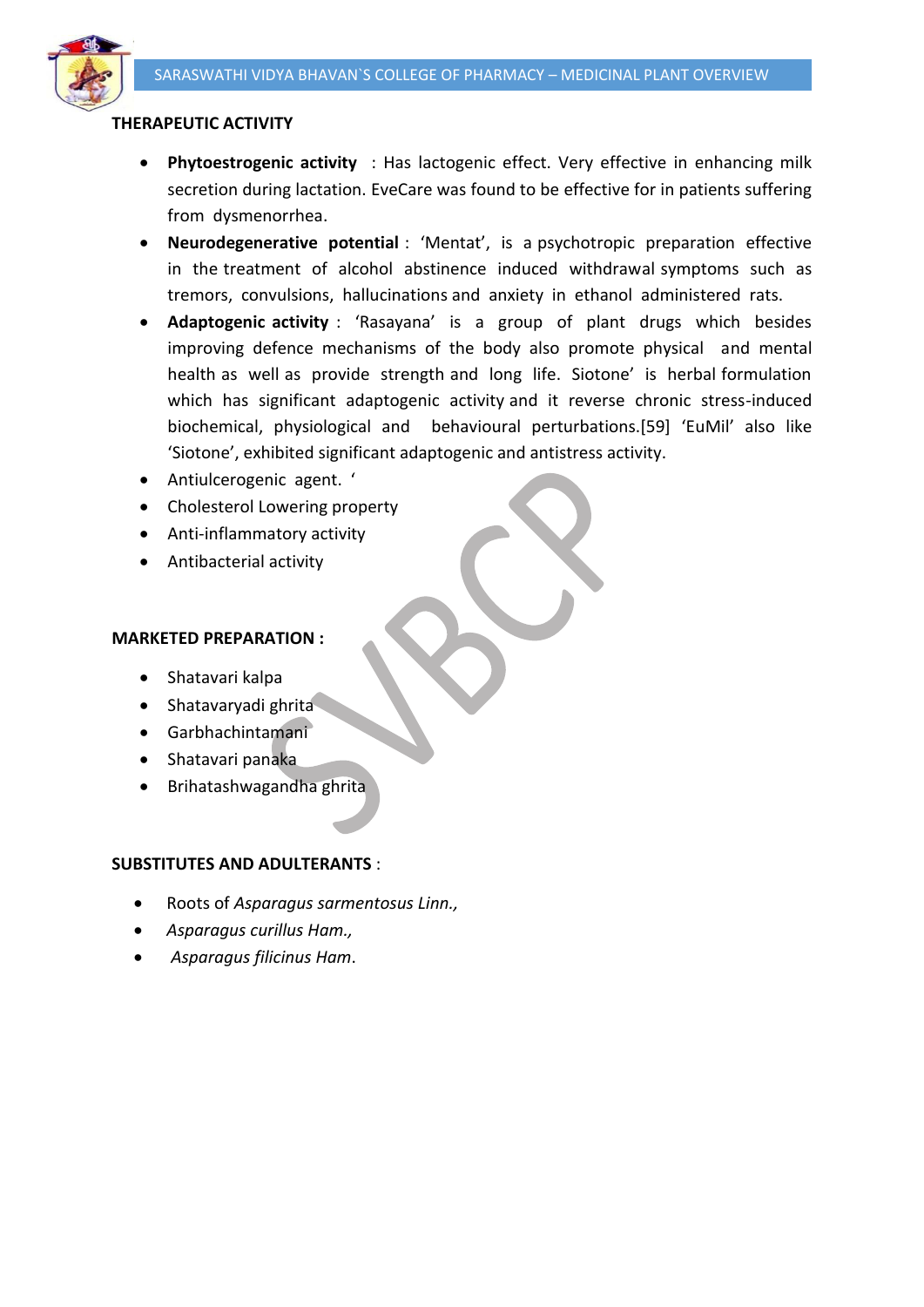

# **THERAPEUTIC ACTIVITY**

- **Phytoestrogenic activity** : Has lactogenic effect. Very effective in enhancing milk secretion during lactation. EveCare was found to be effective for in patients suffering from dysmenorrhea.
- **Neurodegenerative potential** : 'Mentat', is a psychotropic preparation effective in the treatment of alcohol abstinence induced withdrawal symptoms such as tremors, convulsions, hallucinations and anxiety in ethanol administered rats.
- **Adaptogenic activity** : 'Rasayana' is a group of plant drugs which besides improving defence mechanisms of the body also promote physical and mental health as well as provide strength and long life. Siotone' is herbal formulation which has significant adaptogenic activity and it reverse chronic stress-induced biochemical, physiological and behavioural perturbations.[59] 'EuMil' also like 'Siotone', exhibited significant adaptogenic and antistress activity.
- Antiulcerogenic agent. '
- Cholesterol Lowering property
- Anti-inflammatory activity
- Antibacterial activity

### **MARKETED PREPARATION :**

- Shatavari kalpa
- Shatavaryadi ghrita
- Garbhachintamani
- Shatavari panaka
- Brihatashwagandha ghrita

### **SUBSTITUTES AND ADULTERANTS** :

- Roots of *Asparagus sarmentosus Linn.,*
- *Asparagus curillus Ham.,*
- *Asparagus filicinus Ham*.